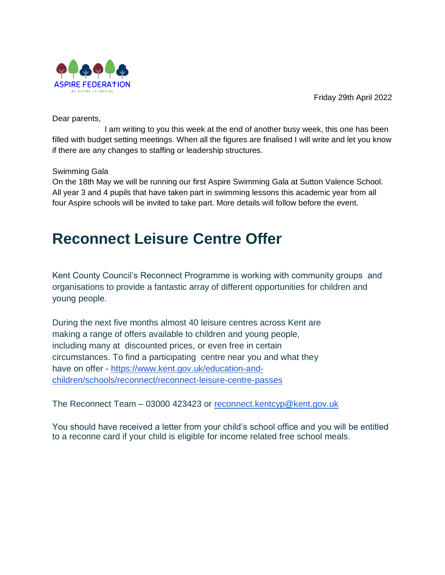

Friday 29th April 2022

Dear parents,

I am writing to you this week at the end of another busy week, this one has been filled with budget setting meetings. When all the figures are finalised I will write and let you know if there are any changes to staffing or leadership structures.

# Swimming Gala

On the 18th May we will be running our first Aspire Swimming Gala at Sutton Valence School. All year 3 and 4 pupils that have taken part in swimming lessons this academic year from all four Aspire schools will be invited to take part. More details will follow before the event.

# **Reconnect Leisure Centre Offer**

Kent County Council's Reconnect Programme is working with community groups and organisations to provide a fantastic array of different opportunities for children and young people.

During the next five months almost 40 leisure centres across Kent are making a range of offers available to children and young people, including many at discounted prices, or even free in certain circumstances. To find a participating centre near you and what they have on offer - [https://www.kent.gov.uk/education-and](https://www.kent.gov.uk/education-and-children/schools/reconnect/reconnect-leisure-centre-passes)[children/schools/reconnect/reconnect-leisure-centre-passes](https://www.kent.gov.uk/education-and-children/schools/reconnect/reconnect-leisure-centre-passes)

The Reconnect Team – 03000 423423 or [reconnect.kentcyp@kent.gov.uk](mailto:reconnect.kentcyp@kent.gov.uk)

You should have received a letter from your child's school office and you will be entitled to a reconne card if your child is eligible for income related free school meals.